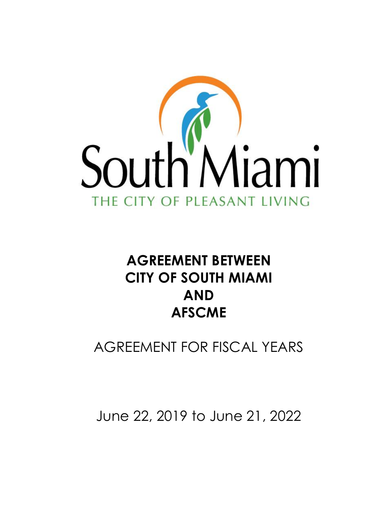

# **AGREEMENT BETWEEN CITY OF SOUTH MIAMI AND AFSCME**

AGREEMENT FOR FISCAL YEARS

June 22, 2019 to June 21, 2022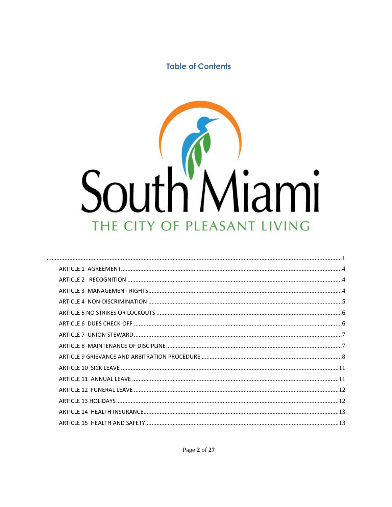# **Table of Contents**



 $\ddot{\phantom{a}}$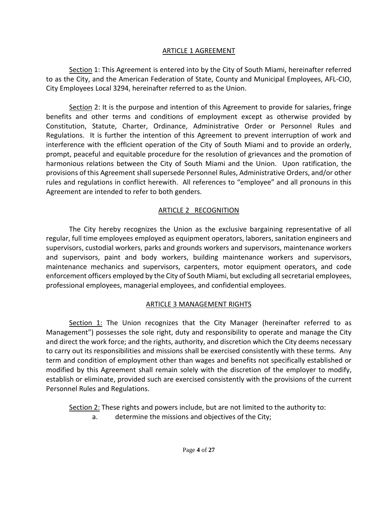#### ARTICLE 1 AGREEMENT

Section 1: This Agreement is entered into by the City of South Miami, hereinafter referred to as the City, and the American Federation of State, County and Municipal Employees, AFL-CIO, City Employees Local 3294, hereinafter referred to as the Union.

Section 2: It is the purpose and intention of this Agreement to provide for salaries, fringe benefits and other terms and conditions of employment except as otherwise provided by Constitution, Statute, Charter, Ordinance, Administrative Order or Personnel Rules and Regulations. It is further the intention of this Agreement to prevent interruption of work and interference with the efficient operation of the City of South Miami and to provide an orderly, prompt, peaceful and equitable procedure for the resolution of grievances and the promotion of harmonious relations between the City of South Miami and the Union. Upon ratification, the provisions of this Agreement shall supersede Personnel Rules, Administrative Orders, and/or other rules and regulations in conflict herewith. All references to "employee" and all pronouns in this Agreement are intended to refer to both genders.

# ARTICLE 2 RECOGNITION

The City hereby recognizes the Union as the exclusive bargaining representative of all regular, full time employees employed as equipment operators, laborers, sanitation engineers and supervisors, custodial workers, parks and grounds workers and supervisors, maintenance workers and supervisors, paint and body workers, building maintenance workers and supervisors, maintenance mechanics and supervisors, carpenters, motor equipment operators, and code enforcement officers employed by the City of South Miami, but excluding all secretarial employees, professional employees, managerial employees, and confidential employees.

#### ARTICLE 3 MANAGEMENT RIGHTS

Section 1: The Union recognizes that the City Manager (hereinafter referred to as Management") possesses the sole right, duty and responsibility to operate and manage the City and direct the work force; and the rights, authority, and discretion which the City deems necessary to carry out its responsibilities and missions shall be exercised consistently with these terms. Any term and condition of employment other than wages and benefits not specifically established or modified by this Agreement shall remain solely with the discretion of the employer to modify, establish or eliminate, provided such are exercised consistently with the provisions of the current Personnel Rules and Regulations.

Section 2: These rights and powers include, but are not limited to the authority to:

a. determine the missions and objectives of the City;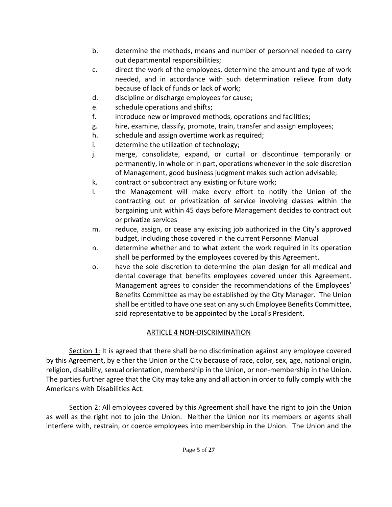- b. determine the methods, means and number of personnel needed to carry out departmental responsibilities;
- c. direct the work of the employees, determine the amount and type of work needed, and in accordance with such determination relieve from duty because of lack of funds or lack of work;
- d. discipline or discharge employees for cause;
- e. schedule operations and shifts;
- f. introduce new or improved methods, operations and facilities;
- g. hire, examine, classify, promote, train, transfer and assign employees;
- h. schedule and assign overtime work as required;
- i. determine the utilization of technology;
- j. merge, consolidate, expand, or curtail or discontinue temporarily or permanently, in whole or in part, operations whenever in the sole discretion of Management, good business judgment makes such action advisable;
- k. contract or subcontract any existing or future work;
- l. the Management will make every effort to notify the Union of the contracting out or privatization of service involving classes within the bargaining unit within 45 days before Management decides to contract out or privatize services
- m. reduce, assign, or cease any existing job authorized in the City's approved budget, including those covered in the current Personnel Manual
- n. determine whether and to what extent the work required in its operation shall be performed by the employees covered by this Agreement.
- o. have the sole discretion to determine the plan design for all medical and dental coverage that benefits employees covered under this Agreement. Management agrees to consider the recommendations of the Employees' Benefits Committee as may be established by the City Manager. The Union shall be entitled to have one seat on any such Employee Benefits Committee, said representative to be appointed by the Local's President.

# ARTICLE 4 NON-DISCRIMINATION

Section 1: It is agreed that there shall be no discrimination against any employee covered by this Agreement, by either the Union or the City because of race, color, sex, age, national origin, religion, disability, sexual orientation, membership in the Union, or non-membership in the Union. The parties further agree that the City may take any and all action in order to fully comply with the Americans with Disabilities Act.

Section 2: All employees covered by this Agreement shall have the right to join the Union as well as the right not to join the Union. Neither the Union nor its members or agents shall interfere with, restrain, or coerce employees into membership in the Union. The Union and the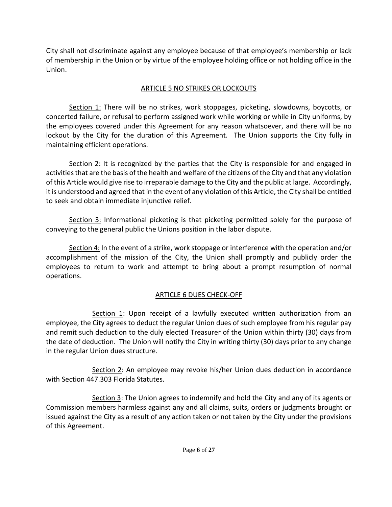City shall not discriminate against any employee because of that employee's membership or lack of membership in the Union or by virtue of the employee holding office or not holding office in the Union.

# ARTICLE 5 NO STRIKES OR LOCKOUTS

Section 1: There will be no strikes, work stoppages, picketing, slowdowns, boycotts, or concerted failure, or refusal to perform assigned work while working or while in City uniforms, by the employees covered under this Agreement for any reason whatsoever, and there will be no lockout by the City for the duration of this Agreement. The Union supports the City fully in maintaining efficient operations.

Section 2: It is recognized by the parties that the City is responsible for and engaged in activities that are the basis of the health and welfare of the citizens of the City and that any violation of this Article would give rise to irreparable damage to the City and the public at large. Accordingly, it is understood and agreed that in the event of any violation of this Article, the City shall be entitled to seek and obtain immediate injunctive relief.

Section 3: Informational picketing is that picketing permitted solely for the purpose of conveying to the general public the Unions position in the labor dispute.

Section 4: In the event of a strike, work stoppage or interference with the operation and/or accomplishment of the mission of the City, the Union shall promptly and publicly order the employees to return to work and attempt to bring about a prompt resumption of normal operations.

# ARTICLE 6 DUES CHECK-OFF

Section 1: Upon receipt of a lawfully executed written authorization from an employee, the City agrees to deduct the regular Union dues of such employee from his regular pay and remit such deduction to the duly elected Treasurer of the Union within thirty (30) days from the date of deduction. The Union will notify the City in writing thirty (30) days prior to any change in the regular Union dues structure.

Section 2: An employee may revoke his/her Union dues deduction in accordance with Section 447.303 Florida Statutes.

Section 3: The Union agrees to indemnify and hold the City and any of its agents or Commission members harmless against any and all claims, suits, orders or judgments brought or issued against the City as a result of any action taken or not taken by the City under the provisions of this Agreement.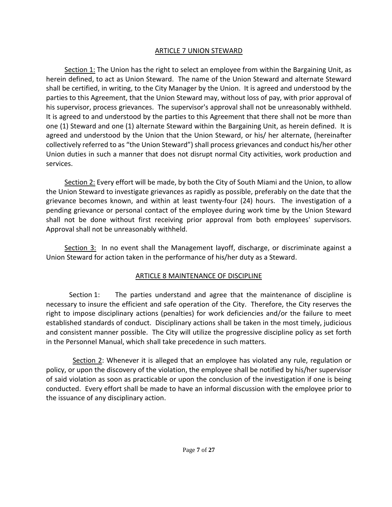#### ARTICLE 7 UNION STEWARD

Section 1: The Union has the right to select an employee from within the Bargaining Unit, as herein defined, to act as Union Steward. The name of the Union Steward and alternate Steward shall be certified, in writing, to the City Manager by the Union. It is agreed and understood by the parties to this Agreement, that the Union Steward may, without loss of pay, with prior approval of his supervisor, process grievances. The supervisor's approval shall not be unreasonably withheld. It is agreed to and understood by the parties to this Agreement that there shall not be more than one (1) Steward and one (1) alternate Steward within the Bargaining Unit, as herein defined. It is agreed and understood by the Union that the Union Steward, or his/ her alternate, (hereinafter collectively referred to as "the Union Steward") shall process grievances and conduct his/her other Union duties in such a manner that does not disrupt normal City activities, work production and services.

Section 2: Every effort will be made, by both the City of South Miami and the Union, to allow the Union Steward to investigate grievances as rapidly as possible, preferably on the date that the grievance becomes known, and within at least twenty-four (24) hours. The investigation of a pending grievance or personal contact of the employee during work time by the Union Steward shall not be done without first receiving prior approval from both employees' supervisors. Approval shall not be unreasonably withheld.

Section 3: In no event shall the Management layoff, discharge, or discriminate against a Union Steward for action taken in the performance of his/her duty as a Steward.

# ARTICLE 8 MAINTENANCE OF DISCIPLINE

Section 1: The parties understand and agree that the maintenance of discipline is necessary to insure the efficient and safe operation of the City. Therefore, the City reserves the right to impose disciplinary actions (penalties) for work deficiencies and/or the failure to meet established standards of conduct. Disciplinary actions shall be taken in the most timely, judicious and consistent manner possible. The City will utilize the progressive discipline policy as set forth in the Personnel Manual, which shall take precedence in such matters.

Section 2: Whenever it is alleged that an employee has violated any rule, regulation or policy, or upon the discovery of the violation, the employee shall be notified by his/her supervisor of said violation as soon as practicable or upon the conclusion of the investigation if one is being conducted. Every effort shall be made to have an informal discussion with the employee prior to the issuance of any disciplinary action.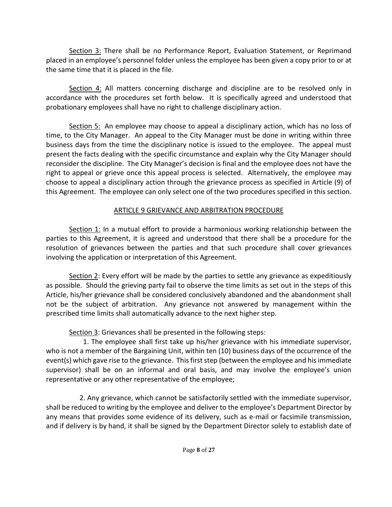Section 3: There shall be no Performance Report, Evaluation Statement, or Reprimand placed in an employee's personnel folder unless the employee has been given a copy prior to or at the same time that it is placed in the file.

Section 4: All matters concerning discharge and discipline are to be resolved only in accordance with the procedures set forth below. It is specifically agreed and understood that probationary employees shall have no right to challenge disciplinary action.

Section 5: An employee may choose to appeal a disciplinary action, which has no loss of time, to the City Manager. An appeal to the City Manager must be done in writing within three business days from the time the disciplinary notice is issued to the employee. The appeal must present the facts dealing with the specific circumstance and explain why the City Manager should reconsider the discipline. The City Manager's decision is final and the employee does not have the right to appeal or grieve once this appeal process is selected. Alternatively, the employee may choose to appeal a disciplinary action through the grievance process as specified in Article (9) of this Agreement. The employee can only select one of the two procedures specified in this section.

# ARTICLE 9 GRIEVANCE AND ARBITRATION PROCEDURE

Section 1: In a mutual effort to provide a harmonious working relationship between the parties to this Agreement, it is agreed and understood that there shall be a procedure for the resolution of grievances between the parties and that such procedure shall cover grievances involving the application or interpretation of this Agreement.

Section 2: Every effort will be made by the parties to settle any grievance as expeditiously as possible. Should the grieving party fail to observe the time limits as set out in the steps of this Article, his/her grievance shall be considered conclusively abandoned and the abandonment shall not be the subject of arbitration. Any grievance not answered by management within the prescribed time limits shall automatically advance to the next higher step.

# Section 3: Grievances shall be presented in the following steps:

 1. The employee shall first take up his/her grievance with his immediate supervisor, who is not a member of the Bargaining Unit, within ten (10) business days of the occurrence of the event(s) which gave rise to the grievance. This first step (between the employee and his immediate supervisor) shall be on an informal and oral basis, and may involve the employee's union representative or any other representative of the employee;

 2. Any grievance, which cannot be satisfactorily settled with the immediate supervisor, shall be reduced to writing by the employee and deliver to the employee's Department Director by any means that provides some evidence of its delivery, such as e-mail or facsimile transmission, and if delivery is by hand, it shall be signed by the Department Director solely to establish date of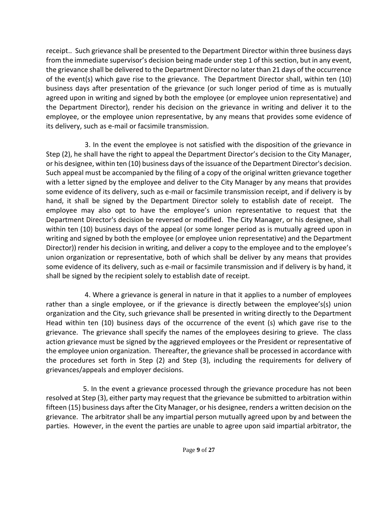receipt.. Such grievance shall be presented to the Department Director within three business days from the immediate supervisor's decision being made under step 1 of this section, but in any event, the grievance shall be delivered to the Department Director no later than 21 days of the occurrence of the event(s) which gave rise to the grievance. The Department Director shall, within ten (10) business days after presentation of the grievance (or such longer period of time as is mutually agreed upon in writing and signed by both the employee (or employee union representative) and the Department Director), render his decision on the grievance in writing and deliver it to the employee, or the employee union representative, by any means that provides some evidence of its delivery, such as e-mail or facsimile transmission.

 3. In the event the employee is not satisfied with the disposition of the grievance in Step (2), he shall have the right to appeal the Department Director's decision to the City Manager, or his designee, within ten (10) business days of the issuance of the Department Director's decision. Such appeal must be accompanied by the filing of a copy of the original written grievance together with a letter signed by the employee and deliver to the City Manager by any means that provides some evidence of its delivery, such as e-mail or facsimile transmission receipt, and if delivery is by hand, it shall be signed by the Department Director solely to establish date of receipt. The employee may also opt to have the employee's union representative to request that the Department Director's decision be reversed or modified. The City Manager, or his designee, shall within ten (10) business days of the appeal (or some longer period as is mutually agreed upon in writing and signed by both the employee (or employee union representative) and the Department Director)) render his decision in writing, and deliver a copy to the employee and to the employee's union organization or representative, both of which shall be deliver by any means that provides some evidence of its delivery, such as e-mail or facsimile transmission and if delivery is by hand, it shall be signed by the recipient solely to establish date of receipt.

 4. Where a grievance is general in nature in that it applies to a number of employees rather than a single employee, or if the grievance is directly between the employee's(s) union organization and the City, such grievance shall be presented in writing directly to the Department Head within ten (10) business days of the occurrence of the event (s) which gave rise to the grievance. The grievance shall specify the names of the employees desiring to grieve. The class action grievance must be signed by the aggrieved employees or the President or representative of the employee union organization. Thereafter, the grievance shall be processed in accordance with the procedures set forth in Step (2) and Step (3), including the requirements for delivery of grievances/appeals and employer decisions.

 5. In the event a grievance processed through the grievance procedure has not been resolved at Step (3), either party may request that the grievance be submitted to arbitration within fifteen (15) business days after the City Manager, or his designee, renders a written decision on the grievance. The arbitrator shall be any impartial person mutually agreed upon by and between the parties. However, in the event the parties are unable to agree upon said impartial arbitrator, the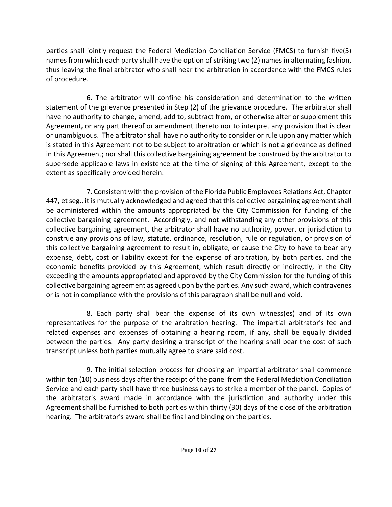parties shall jointly request the Federal Mediation Conciliation Service (FMCS) to furnish five(5) names from which each party shall have the option of striking two (2) names in alternating fashion, thus leaving the final arbitrator who shall hear the arbitration in accordance with the FMCS rules of procedure.

 6. The arbitrator will confine his consideration and determination to the written statement of the grievance presented in Step (2) of the grievance procedure. The arbitrator shall have no authority to change, amend, add to, subtract from, or otherwise alter or supplement this Agreement**,** or any part thereof or amendment thereto nor to interpret any provision that is clear or unambiguous. The arbitrator shall have no authority to consider or rule upon any matter which is stated in this Agreement not to be subject to arbitration or which is not a grievance as defined in this Agreement; nor shall this collective bargaining agreement be construed by the arbitrator to supersede applicable laws in existence at the time of signing of this Agreement, except to the extent as specifically provided herein.

 7. Consistent with the provision of the Florida Public Employees Relations Act, Chapter 447, et seg., it is mutually acknowledged and agreed that this collective bargaining agreement shall be administered within the amounts appropriated by the City Commission for funding of the collective bargaining agreement. Accordingly, and not withstanding any other provisions of this collective bargaining agreement, the arbitrator shall have no authority, power, or jurisdiction to construe any provisions of law, statute, ordinance, resolution, rule or regulation, or provision of this collective bargaining agreement to result in**,** obligate, or cause the City to have to bear any expense, debt**,** cost or liability except for the expense of arbitration, by both parties, and the economic benefits provided by this Agreement, which result directly or indirectly, in the City exceeding the amounts appropriated and approved by the City Commission for the funding of this collective bargaining agreement as agreed upon by the parties. Any such award, which contravenes or is not in compliance with the provisions of this paragraph shall be null and void.

 8. Each party shall bear the expense of its own witness(es) and of its own representatives for the purpose of the arbitration hearing. The impartial arbitrator's fee and related expenses and expenses of obtaining a hearing room, if any, shall be equally divided between the parties. Any party desiring a transcript of the hearing shall bear the cost of such transcript unless both parties mutually agree to share said cost.

 9. The initial selection process for choosing an impartial arbitrator shall commence within ten (10) business days after the receipt of the panel from the Federal Mediation Conciliation Service and each party shall have three business days to strike a member of the panel. Copies of the arbitrator's award made in accordance with the jurisdiction and authority under this Agreement shall be furnished to both parties within thirty (30) days of the close of the arbitration hearing. The arbitrator's award shall be final and binding on the parties.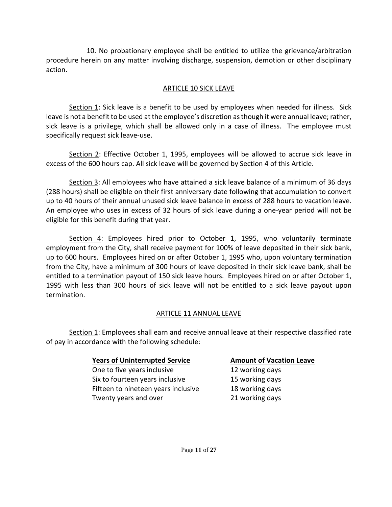10. No probationary employee shall be entitled to utilize the grievance/arbitration procedure herein on any matter involving discharge, suspension, demotion or other disciplinary action.

#### ARTICLE 10 SICK LEAVE

Section 1: Sick leave is a benefit to be used by employees when needed for illness. Sick leave is not a benefit to be used at the employee's discretion as though it were annual leave; rather, sick leave is a privilege, which shall be allowed only in a case of illness. The employee must specifically request sick leave-use.

Section 2: Effective October 1, 1995, employees will be allowed to accrue sick leave in excess of the 600 hours cap. All sick leave will be governed by Section 4 of this Article.

Section 3: All employees who have attained a sick leave balance of a minimum of 36 days (288 hours) shall be eligible on their first anniversary date following that accumulation to convert up to 40 hours of their annual unused sick leave balance in excess of 288 hours to vacation leave. An employee who uses in excess of 32 hours of sick leave during a one-year period will not be eligible for this benefit during that year.

Section 4: Employees hired prior to October 1, 1995, who voluntarily terminate employment from the City, shall receive payment for 100% of leave deposited in their sick bank, up to 600 hours. Employees hired on or after October 1, 1995 who, upon voluntary termination from the City, have a minimum of 300 hours of leave deposited in their sick leave bank, shall be entitled to a termination payout of 150 sick leave hours. Employees hired on or after October 1, 1995 with less than 300 hours of sick leave will not be entitled to a sick leave payout upon termination.

# ARTICLE 11 ANNUAL LEAVE

Section 1: Employees shall earn and receive annual leave at their respective classified rate of pay in accordance with the following schedule:

#### **Years of Uninterrupted Service Amount of Vacation Leave**

One to five years inclusive 12 working days Six to fourteen years inclusive 15 working days Fifteen to nineteen years inclusive 18 working days Twenty years and over 1988 120 working days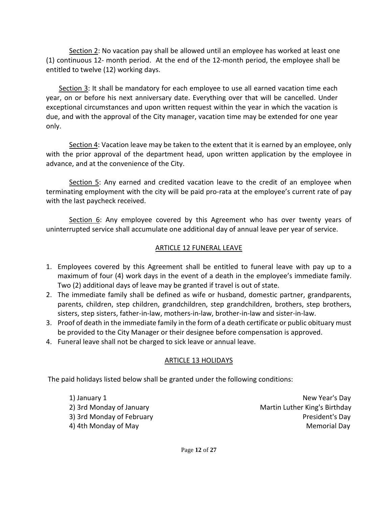Section 2: No vacation pay shall be allowed until an employee has worked at least one (1) continuous 12- month period. At the end of the 12-month period, the employee shall be entitled to twelve (12) working days.

Section 3: It shall be mandatory for each employee to use all earned vacation time each year, on or before his next anniversary date. Everything over that will be cancelled. Under exceptional circumstances and upon written request within the year in which the vacation is due, and with the approval of the City manager, vacation time may be extended for one year only.

Section 4: Vacation leave may be taken to the extent that it is earned by an employee, only with the prior approval of the department head, upon written application by the employee in advance, and at the convenience of the City.

Section 5: Any earned and credited vacation leave to the credit of an employee when terminating employment with the city will be paid pro-rata at the employee's current rate of pay with the last paycheck received.

Section 6: Any employee covered by this Agreement who has over twenty years of uninterrupted service shall accumulate one additional day of annual leave per year of service.

#### ARTICLE 12 FUNERAL LEAVE

- 1. Employees covered by this Agreement shall be entitled to funeral leave with pay up to a maximum of four (4) work days in the event of a death in the employee's immediate family. Two (2) additional days of leave may be granted if travel is out of state.
- 2. The immediate family shall be defined as wife or husband, domestic partner, grandparents, parents, children, step children, grandchildren, step grandchildren, brothers, step brothers, sisters, step sisters, father-in-law, mothers-in-law, brother-in-law and sister-in-law.
- 3. Proof of death in the immediate family in the form of a death certificate or public obituary must be provided to the City Manager or their designee before compensation is approved.
- 4. Funeral leave shall not be charged to sick leave or annual leave.

#### ARTICLE 13 HOLIDAYS

The paid holidays listed below shall be granted under the following conditions:

1) January 1 New Year's Day 2) 3rd Monday of January Martin Luther King's Birthday 3) 3rd Monday of February **President's Day** 4) 4th Monday of May News 2008 and the Control of May Memorial Day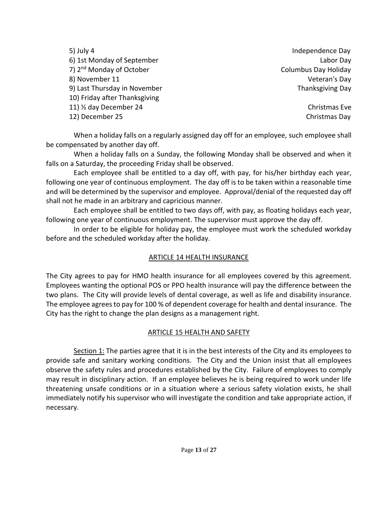5) July 4 **Independence Day** 6) 1st Monday of September Labor Day and the United States of Labor Day 7) 2<sup>nd</sup> Monday of October **Columbus Day Holiday** Columbus Day Holiday 8) November 11 Veteran's Day 9) Last Thursday in November Thanksgiving Day 10) Friday after Thanksgiving 11) ½ day December 24 Christmas Eve 12) December 25 Christmas Day

When a holiday falls on a regularly assigned day off for an employee, such employee shall be compensated by another day off.

When a holiday falls on a Sunday, the following Monday shall be observed and when it falls on a Saturday, the proceeding Friday shall be observed.

Each employee shall be entitled to a day off, with pay, for his/her birthday each year, following one year of continuous employment. The day off is to be taken within a reasonable time and will be determined by the supervisor and employee. Approval/denial of the requested day off shall not he made in an arbitrary and capricious manner.

Each employee shall be entitled to two days off, with pay, as floating holidays each year, following one year of continuous employment. The supervisor must approve the day off.

In order to be eligible for holiday pay, the employee must work the scheduled workday before and the scheduled workday after the holiday.

# ARTICLE 14 HEALTH INSURANCE

The City agrees to pay for HMO health insurance for all employees covered by this agreement. Employees wanting the optional POS or PPO health insurance will pay the difference between the two plans. The City will provide levels of dental coverage, as well as life and disability insurance. The employee agrees to pay for 100 % of dependent coverage for health and dental insurance. The City has the right to change the plan designs as a management right.

# ARTICLE 15 HEALTH AND SAFETY

Section 1: The parties agree that it is in the best interests of the City and its employees to provide safe and sanitary working conditions. The City and the Union insist that all employees observe the safety rules and procedures established by the City. Failure of employees to comply may result in disciplinary action. If an employee believes he is being required to work under life threatening unsafe conditions or in a situation where a serious safety violation exists, he shall immediately notify his supervisor who will investigate the condition and take appropriate action, if necessary.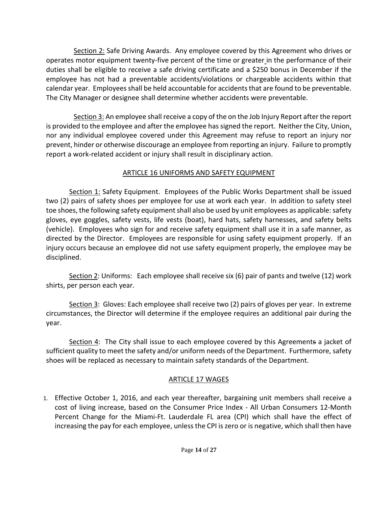Section 2: Safe Driving Awards. Any employee covered by this Agreement who drives or operates motor equipment twenty-five percent of the time or greater in the performance of their duties shall be eligible to receive a safe driving certificate and a \$250 bonus in December if the employee has not had a preventable accidents/violations or chargeable accidents within that calendar year. Employees shall be held accountable for accidents that are found to be preventable. The City Manager or designee shall determine whether accidents were preventable.

Section 3: An employee shall receive a copy of the on the Job Injury Report after the report is provided to the employee and after the employee hassigned the report. Neither the City, Union, nor any individual employee covered under this Agreement may refuse to report an injury nor prevent, hinder or otherwise discourage an employee from reporting an injury. Failure to promptly report a work-related accident or injury shall result in disciplinary action.

# ARTICLE 16 UNIFORMS AND SAFETY EQUIPMENT

Section 1: Safety Equipment. Employees of the Public Works Department shall be issued two (2) pairs of safety shoes per employee for use at work each year. In addition to safety steel toe shoes, the following safety equipment shall also be used by unit employees as applicable: safety gloves, eye goggles, safety vests, life vests (boat), hard hats, safety harnesses, and safety belts (vehicle). Employees who sign for and receive safety equipment shall use it in a safe manner, as directed by the Director. Employees are responsible for using safety equipment properly. If an injury occurs because an employee did not use safety equipment properly, the employee may be disciplined.

Section 2: Uniforms: Each employee shall receive six (6) pair of pants and twelve (12) work shirts, per person each year.

Section 3: Gloves: Each employee shall receive two (2) pairs of gloves per year. In extreme circumstances, the Director will determine if the employee requires an additional pair during the year.

Section 4: The City shall issue to each employee covered by this Agreements a jacket of sufficient quality to meet the safety and/or uniform needs of the Department. Furthermore, safety shoes will be replaced as necessary to maintain safety standards of the Department.

# ARTICLE 17 WAGES

1. Effective October 1, 2016, and each year thereafter, bargaining unit members shall receive a cost of living increase, based on the Consumer Price Index - All Urban Consumers 12-Month Percent Change for the Miami-Ft. Lauderdale FL area (CPI) which shall have the effect of increasing the pay for each employee, unlessthe CPI is zero or is negative, which shall then have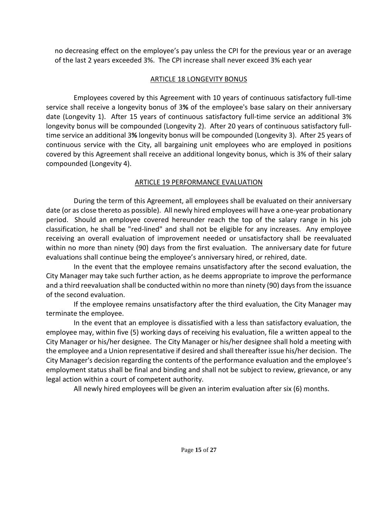no decreasing effect on the employee's pay unless the CPI for the previous year or an average of the last 2 years exceeded 3%. The CPI increase shall never exceed 3% each year

# ARTICLE 18 LONGEVITY BONUS

Employees covered by this Agreement with 10 years of continuous satisfactory full-time service shall receive a longevity bonus of 3**%** of the employee's base salary on their anniversary date (Longevity 1). After 15 years of continuous satisfactory full-time service an additional 3% longevity bonus will be compounded (Longevity 2). After 20 years of continuous satisfactory fulltime service an additional 3**%** longevity bonus will be compounded (Longevity 3). After 25 years of continuous service with the City, all bargaining unit employees who are employed in positions covered by this Agreement shall receive an additional longevity bonus, which is 3% of their salary compounded (Longevity 4).

# ARTICLE 19 PERFORMANCE EVALUATION

During the term of this Agreement, all employees shall be evaluated on their anniversary date (or as close thereto as possible). All newly hired employees will have a one-year probationary period. Should an employee covered hereunder reach the top of the salary range in his job classification, he shall be "red-lined" and shall not be eligible for any increases. Any employee receiving an overall evaluation of improvement needed or unsatisfactory shall be reevaluated within no more than ninety (90) days from the first evaluation. The anniversary date for future evaluations shall continue being the employee's anniversary hired, or rehired, date.

In the event that the employee remains unsatisfactory after the second evaluation, the City Manager may take such further action, as he deems appropriate to improve the performance and a third reevaluation shall be conducted within no more than ninety (90) daysfrom the issuance of the second evaluation.

If the employee remains unsatisfactory after the third evaluation, the City Manager may terminate the employee.

In the event that an employee is dissatisfied with a less than satisfactory evaluation, the employee may, within five (5) working days of receiving his evaluation, file a written appeal to the City Manager or his/her designee. The City Manager or his/her designee shall hold a meeting with the employee and a Union representative if desired and shall thereafter issue his/her decision. The City Manager's decision regarding the contents of the performance evaluation and the employee's employment status shall be final and binding and shall not be subject to review, grievance, or any legal action within a court of competent authority.

All newly hired employees will be given an interim evaluation after six (6) months.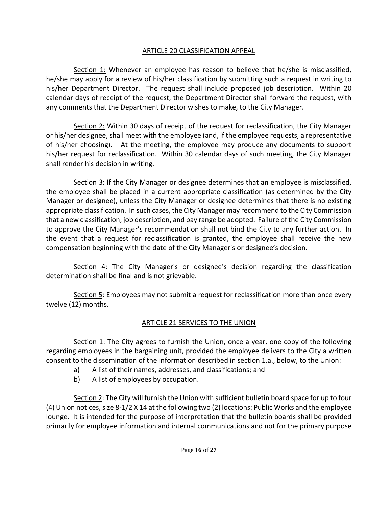# ARTICLE 20 CLASSIFICATION APPEAL

Section 1: Whenever an employee has reason to believe that he/she is misclassified, he/she may apply for a review of his/her classification by submitting such a request in writing to his/her Department Director. The request shall include proposed job description. Within 20 calendar days of receipt of the request, the Department Director shall forward the request, with any comments that the Department Director wishes to make, to the City Manager.

Section 2: Within 30 days of receipt of the request for reclassification, the City Manager or his/her designee, shall meet with the employee (and, if the employee requests, a representative of his/her choosing). At the meeting, the employee may produce any documents to support his/her request for reclassification. Within 30 calendar days of such meeting, the City Manager shall render his decision in writing.

Section 3: If the City Manager or designee determines that an employee is misclassified, the employee shall be placed in a current appropriate classification (as determined by the City Manager or designee), unless the City Manager or designee determines that there is no existing appropriate classification. In such cases, the City Manager may recommend to the City Commission that a new classification, job description, and pay range be adopted. Failure of the City Commission to approve the City Manager's recommendation shall not bind the City to any further action. In the event that a request for reclassification is granted, the employee shall receive the new compensation beginning with the date of the City Manager's or designee's decision.

Section 4: The City Manager's or designee's decision regarding the classification determination shall be final and is not grievable.

Section 5: Employees may not submit a request for reclassification more than once every twelve (12) months.

# ARTICLE 21 SERVICES TO THE UNION

Section 1: The City agrees to furnish the Union, once a year, one copy of the following regarding employees in the bargaining unit, provided the employee delivers to the City a written consent to the dissemination of the information described in section 1.a., below, to the Union:

- a) A list of their names, addresses, and classifications; and
- b) A list of employees by occupation.

Section 2: The City will furnish the Union with sufficient bulletin board space for up to four (4) Union notices, size 8-1/2 X 14 at the following two (2) locations: Public Works and the employee lounge. It is intended for the purpose of interpretation that the bulletin boards shall be provided primarily for employee information and internal communications and not for the primary purpose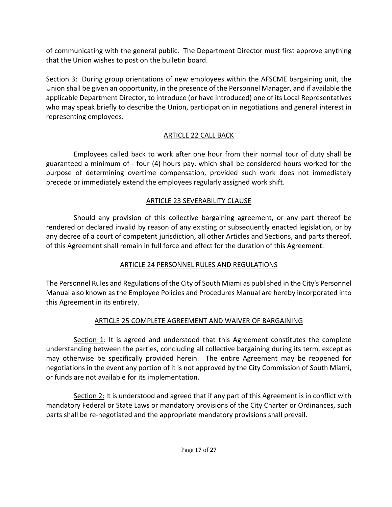of communicating with the general public. The Department Director must first approve anything that the Union wishes to post on the bulletin board.

Section 3: During group orientations of new employees within the AFSCME bargaining unit, the Union shall be given an opportunity, in the presence of the Personnel Manager, and if available the applicable Department Director, to introduce (or have introduced) one of its Local Representatives who may speak briefly to describe the Union, participation in negotiations and general interest in representing employees.

# ARTICLE 22 CALL BACK

Employees called back to work after one hour from their normal tour of duty shall be guaranteed a minimum of - four (4) hours pay, which shall be considered hours worked for the purpose of determining overtime compensation, provided such work does not immediately precede or immediately extend the employees regularly assigned work shift.

# ARTICLE 23 SEVERABILITY CLAUSE

Should any provision of this collective bargaining agreement, or any part thereof be rendered or declared invalid by reason of any existing or subsequently enacted legislation, or by any decree of a court of competent jurisdiction, all other Articles and Sections, and parts thereof, of this Agreement shall remain in full force and effect for the duration of this Agreement.

# ARTICLE 24 PERSONNEL RULES AND REGULATIONS

The Personnel Rules and Regulations of the City of South Miami as published in the City's Personnel Manual also known as the Employee Policies and Procedures Manual are hereby incorporated into this Agreement in its entirety.

# ARTICLE 25 COMPLETE AGREEMENT AND WAIVER OF BARGAINING

Section 1: It is agreed and understood that this Agreement constitutes the complete understanding between the parties, concluding all collective bargaining during its term, except as may otherwise be specifically provided herein. The entire Agreement may be reopened for negotiations in the event any portion of it is not approved by the City Commission of South Miami, or funds are not available for its implementation.

Section 2: It is understood and agreed that if any part of this Agreement is in conflict with mandatory Federal or State Laws or mandatory provisions of the City Charter or Ordinances, such parts shall be re-negotiated and the appropriate mandatory provisions shall prevail.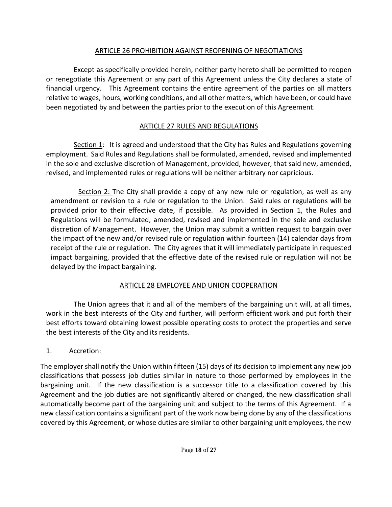# ARTICLE 26 PROHIBITION AGAINST REOPENING OF NEGOTIATIONS

Except as specifically provided herein, neither party hereto shall be permitted to reopen or renegotiate this Agreement or any part of this Agreement unless the City declares a state of financial urgency. This Agreement contains the entire agreement of the parties on all matters relative to wages, hours, working conditions, and all other matters, which have been, or could have been negotiated by and between the parties prior to the execution of this Agreement.

# ARTICLE 27 RULES AND REGULATIONS

Section 1: It is agreed and understood that the City has Rules and Regulations governing employment. Said Rules and Regulations shall be formulated, amended, revised and implemented in the sole and exclusive discretion of Management, provided, however, that said new, amended, revised, and implemented rules or regulations will be neither arbitrary nor capricious.

Section 2: The City shall provide a copy of any new rule or regulation, as well as any amendment or revision to a rule or regulation to the Union. Said rules or regulations will be provided prior to their effective date, if possible. As provided in Section 1, the Rules and Regulations will be formulated, amended, revised and implemented in the sole and exclusive discretion of Management. However, the Union may submit a written request to bargain over the impact of the new and/or revised rule or regulation within fourteen (14) calendar days from receipt of the rule or regulation. The City agrees that it will immediately participate in requested impact bargaining, provided that the effective date of the revised rule or regulation will not be delayed by the impact bargaining.

# ARTICLE 28 EMPLOYEE AND UNION COOPERATION

The Union agrees that it and all of the members of the bargaining unit will, at all times, work in the best interests of the City and further, will perform efficient work and put forth their best efforts toward obtaining lowest possible operating costs to protect the properties and serve the best interests of the City and its residents.

# 1. Accretion:

The employer shall notify the Union within fifteen (15) days of its decision to implement any new job classifications that possess job duties similar in nature to those performed by employees in the bargaining unit. If the new classification is a successor title to a classification covered by this Agreement and the job duties are not significantly altered or changed, the new classification shall automatically become part of the bargaining unit and subject to the terms of this Agreement. If a new classification contains a significant part of the work now being done by any of the classifications covered by this Agreement, or whose duties are similar to other bargaining unit employees, the new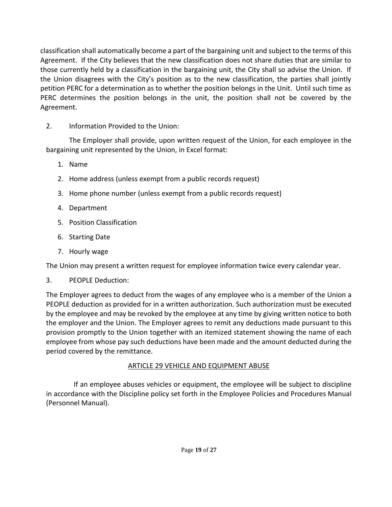classification shall automatically become a part of the bargaining unit and subject to the terms of this Agreement. If the City believes that the new classification does not share duties that are similar to those currently held by a classification in the bargaining unit, the City shall so advise the Union. If the Union disagrees with the City's position as to the new classification, the parties shall jointly petition PERC for a determination as to whether the position belongs in the Unit. Until such time as PERC determines the position belongs in the unit, the position shall not be covered by the Agreement.

# 2. Information Provided to the Union:

The Employer shall provide, upon written request of the Union, for each employee in the bargaining unit represented by the Union, in Excel format:

- 1. Name
- 2. Home address (unless exempt from a public records request)
- 3. Home phone number (unless exempt from a public records request)
- 4. Department
- 5. Position Classification
- 6. Starting Date
- 7. Hourly wage

The Union may present a written request for employee information twice every calendar year.

3. PEOPLE Deduction:

The Employer agrees to deduct from the wages of any employee who is a member of the Union a PEOPLE deduction as provided for in a written authorization. Such authorization must be executed by the employee and may be revoked by the employee at any time by giving written notice to both the employer and the Union. The Employer agrees to remit any deductions made pursuant to this provision promptly to the Union together with an itemized statement showing the name of each employee from whose pay such deductions have been made and the amount deducted during the period covered by the remittance.

# ARTICLE 29 VEHICLE AND EQUIPMENT ABUSE

If an employee abuses vehicles or equipment, the employee will be subject to discipline in accordance with the Discipline policy set forth in the Employee Policies and Procedures Manual (Personnel Manual).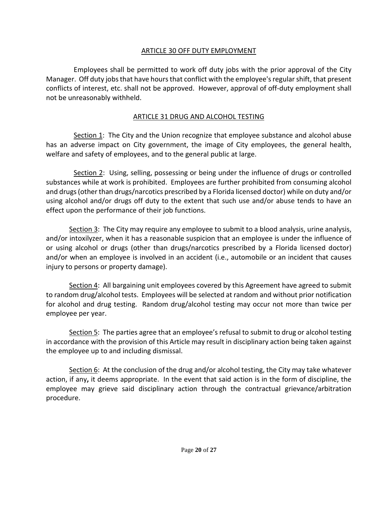# ARTICLE 30 OFF DUTY EMPLOYMENT

Employees shall be permitted to work off duty jobs with the prior approval of the City Manager. Off duty jobs that have hours that conflict with the employee's regular shift, that present conflicts of interest, etc. shall not be approved. However, approval of off-duty employment shall not be unreasonably withheld.

# ARTICLE 31 DRUG AND ALCOHOL TESTING

Section 1: The City and the Union recognize that employee substance and alcohol abuse has an adverse impact on City government, the image of City employees, the general health, welfare and safety of employees, and to the general public at large.

Section 2: Using, selling, possessing or being under the influence of drugs or controlled substances while at work is prohibited. Employees are further prohibited from consuming alcohol and drugs (other than drugs/narcotics prescribed by a Florida licensed doctor) while on duty and/or using alcohol and/or drugs off duty to the extent that such use and/or abuse tends to have an effect upon the performance of their job functions.

Section 3: The City may require any employee to submit to a blood analysis, urine analysis, and/or intoxilyzer, when it has a reasonable suspicion that an employee is under the influence of or using alcohol or drugs (other than drugs/narcotics prescribed by a Florida licensed doctor) and/or when an employee is involved in an accident (i.e., automobile or an incident that causes injury to persons or property damage).

Section 4: All bargaining unit employees covered by this Agreement have agreed to submit to random drug/alcohol tests. Employees will be selected at random and without prior notification for alcohol and drug testing. Random drug/alcohol testing may occur not more than twice per employee per year.

Section 5: The parties agree that an employee's refusal to submit to drug or alcohol testing in accordance with the provision of this Article may result in disciplinary action being taken against the employee up to and including dismissal.

Section 6: At the conclusion of the drug and/or alcohol testing, the City may take whatever action, if any**,** it deems appropriate. In the event that said action is in the form of discipline, the employee may grieve said disciplinary action through the contractual grievance/arbitration procedure.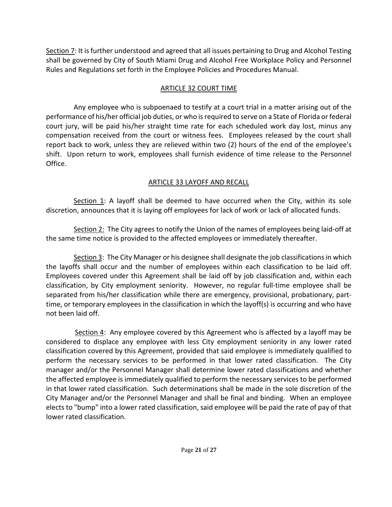Section 7: It is further understood and agreed that all issues pertaining to Drug and Alcohol Testing shall be governed by City of South Miami Drug and Alcohol Free Workplace Policy and Personnel Rules and Regulations set forth in the Employee Policies and Procedures Manual.

# ARTICLE 32 COURT TIME

Any employee who is subpoenaed to testify at a court trial in a matter arising out of the performance of his/her official job duties, or who is required to serve on a State of Florida or federal court jury, will be paid his/her straight time rate for each scheduled work day lost, minus any compensation received from the court or witness fees. Employees released by the court shall report back to work, unless they are relieved within two (2) hours of the end of the employee's shift. Upon return to work, employees shall furnish evidence of time release to the Personnel Office.

# ARTICLE 33 LAYOFF AND RECALL

Section 1: A layoff shall be deemed to have occurred when the City, within its sole discretion, announces that it is laying off employees for lack of work or lack of allocated funds.

Section 2: The City agrees to notify the Union of the names of employees being laid-off at the same time notice is provided to the affected employees or immediately thereafter.

Section 3: The City Manager or his designee shall designate the job classifications in which the layoffs shall occur and the number of employees within each classification to be laid off. Employees covered under this Agreement shall be laid off by job classification and, within each classification, by City employment seniority. However, no regular full-time employee shall be separated from his/her classification while there are emergency, provisional, probationary, parttime, or temporary employees in the classification in which the layoff(s) is occurring and who have not been laid off.

Section 4: Any employee covered by this Agreement who is affected by a layoff may be considered to displace any employee with less City employment seniority in any lower rated classification covered by this Agreement, provided that said employee is immediately qualified to perform the necessary services to be performed in that lower rated classification. The City manager and/or the Personnel Manager shall determine lower rated classifications and whether the affected employee is immediately qualified to perform the necessary services to be performed in that lower rated classification. Such determinations shall be made in the sole discretion of the City Manager and/or the Personnel Manager and shall be final and binding. When an employee elects to "bump" into a lower rated classification, said employee will be paid the rate of pay of that lower rated classification.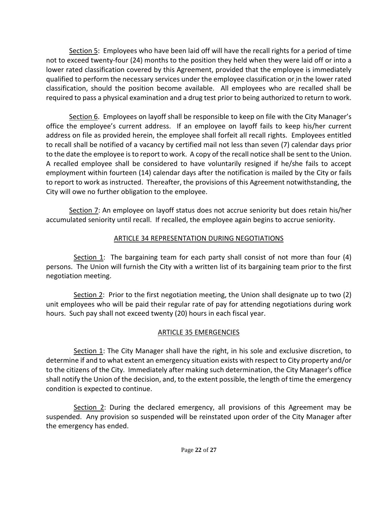Section 5: Employees who have been laid off will have the recall rights for a period of time not to exceed twenty-four (24) months to the position they held when they were laid off or into a lower rated classification covered by this Agreement, provided that the employee is immediately qualified to perform the necessary services under the employee classification or in the lower rated classification, should the position become available. All employees who are recalled shall be required to pass a physical examination and a drug test prior to being authorized to return to work.

Section 6. Employees on layoff shall be responsible to keep on file with the City Manager's office the employee's current address. If an employee on layoff fails to keep his/her current address on file as provided herein, the employee shall forfeit all recall rights. Employees entitled to recall shall be notified of a vacancy by certified mail not less than seven (7) calendar days prior to the date the employee isto report to work. A copy of the recall notice shall be sent to the Union. A recalled employee shall be considered to have voluntarily resigned if he/she fails to accept employment within fourteen (14) calendar days after the notification is mailed by the City or fails to report to work as instructed. Thereafter, the provisions of this Agreement notwithstanding, the City will owe no further obligation to the employee.

Section 7: An employee on layoff status does not accrue seniority but does retain his/her accumulated seniority until recall. If recalled, the employee again begins to accrue seniority.

# ARTICLE 34 REPRESENTATION DURING NEGOTIATIONS

Section 1: The bargaining team for each party shall consist of not more than four  $(4)$ persons. The Union will furnish the City with a written list of its bargaining team prior to the first negotiation meeting.

Section 2: Prior to the first negotiation meeting, the Union shall designate up to two (2) unit employees who will be paid their regular rate of pay for attending negotiations during work hours. Such pay shall not exceed twenty (20) hours in each fiscal year.

# ARTICLE 35 EMERGENCIES

Section 1: The City Manager shall have the right, in his sole and exclusive discretion, to determine if and to what extent an emergency situation exists with respect to City property and/or to the citizens of the City. Immediately after making such determination, the City Manager's office shall notify the Union of the decision, and, to the extent possible, the length of time the emergency condition is expected to continue.

Section 2: During the declared emergency, all provisions of this Agreement may be suspended. Any provision so suspended will be reinstated upon order of the City Manager after the emergency has ended.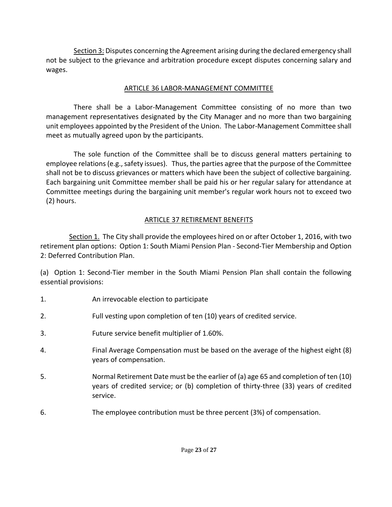Section 3: Disputes concerning the Agreement arising during the declared emergency shall not be subject to the grievance and arbitration procedure except disputes concerning salary and wages.

# ARTICLE 36 LABOR-MANAGEMENT COMMITTEE

There shall be a Labor-Management Committee consisting of no more than two management representatives designated by the City Manager and no more than two bargaining unit employees appointed by the President of the Union. The Labor-Management Committee shall meet as mutually agreed upon by the participants.

The sole function of the Committee shall be to discuss general matters pertaining to employee relations (e.g., safety issues). Thus, the parties agree that the purpose of the Committee shall not be to discuss grievances or matters which have been the subject of collective bargaining. Each bargaining unit Committee member shall be paid his or her regular salary for attendance at Committee meetings during the bargaining unit member's regular work hours not to exceed two (2) hours.

# ARTICLE 37 RETIREMENT BENEFITS

Section 1. The City shall provide the employees hired on or after October 1, 2016, with two retirement plan options: Option 1: South Miami Pension Plan - Second-Tier Membership and Option 2: Deferred Contribution Plan.

(a) Option 1: Second-Tier member in the South Miami Pension Plan shall contain the following essential provisions:

- 1. An irrevocable election to participate
- 2. Full vesting upon completion of ten (10) years of credited service.
- 3. Future service benefit multiplier of 1.60%.
- 4. Final Average Compensation must be based on the average of the highest eight (8) years of compensation.
- 5. Normal Retirement Date must be the earlier of (a) age 65 and completion of ten (10) years of credited service; or (b) completion of thirty-three (33) years of credited service.
- 6. The employee contribution must be three percent (3%) of compensation.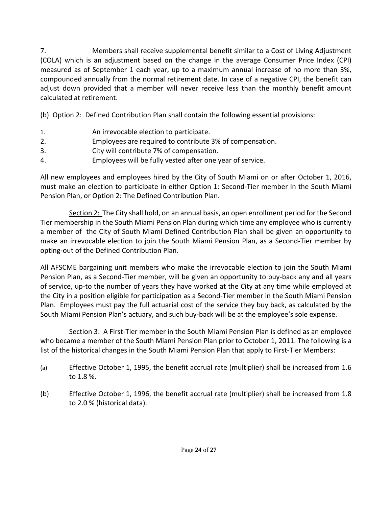7. Members shall receive supplemental benefit similar to a Cost of Living Adjustment (COLA) which is an adjustment based on the change in the average Consumer Price Index (CPI) measured as of September 1 each year, up to a maximum annual increase of no more than 3%, compounded annually from the normal retirement date. In case of a negative CPI, the benefit can adjust down provided that a member will never receive less than the monthly benefit amount calculated at retirement.

(b) Option 2: Defined Contribution Plan shall contain the following essential provisions:

- 1. An irrevocable election to participate.
- 2. Employees are required to contribute 3% of compensation.
- 3. City will contribute 7% of compensation.
- 4. Employees will be fully vested after one year of service.

All new employees and employees hired by the City of South Miami on or after October 1, 2016, must make an election to participate in either Option 1: Second-Tier member in the South Miami Pension Plan, or Option 2: The Defined Contribution Plan.

Section 2: The City shall hold, on an annual basis, an open enrollment period for the Second Tier membership in the South Miami Pension Plan during which time any employee who is currently a member of the City of South Miami Defined Contribution Plan shall be given an opportunity to make an irrevocable election to join the South Miami Pension Plan, as a Second-Tier member by opting-out of the Defined Contribution Plan.

All AFSCME bargaining unit members who make the irrevocable election to join the South Miami Pension Plan, as a Second-Tier member, will be given an opportunity to buy-back any and all years of service, up-to the number of years they have worked at the City at any time while employed at the City in a position eligible for participation as a Second-Tier member in the South Miami Pension Plan. Employees must pay the full actuarial cost of the service they buy back, as calculated by the South Miami Pension Plan's actuary, and such buy-back will be at the employee's sole expense.

Section 3: A First-Tier member in the South Miami Pension Plan is defined as an employee who became a member of the South Miami Pension Plan prior to October 1, 2011. The following is a list of the historical changes in the South Miami Pension Plan that apply to First-Tier Members:

- (a) Effective October 1, 1995, the benefit accrual rate (multiplier) shall be increased from 1.6 to 1.8 %.
- (b) Effective October 1, 1996, the benefit accrual rate (multiplier) shall be increased from 1.8 to 2.0 % (historical data).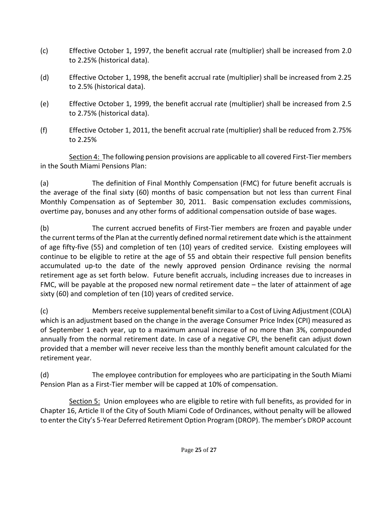- (c) Effective October 1, 1997, the benefit accrual rate (multiplier) shall be increased from 2.0 to 2.25% (historical data).
- (d) Effective October 1, 1998, the benefit accrual rate (multiplier) shall be increased from 2.25 to 2.5% (historical data).
- (e) Effective October 1, 1999, the benefit accrual rate (multiplier) shall be increased from 2.5 to 2.75% (historical data).
- (f) Effective October 1, 2011, the benefit accrual rate (multiplier) shall be reduced from 2.75% to 2.25%

Section 4: The following pension provisions are applicable to all covered First-Tier members in the South Miami Pensions Plan:

(a) The definition of Final Monthly Compensation (FMC) for future benefit accruals is the average of the final sixty (60) months of basic compensation but not less than current Final Monthly Compensation as of September 30, 2011. Basic compensation excludes commissions, overtime pay, bonuses and any other forms of additional compensation outside of base wages.

(b) The current accrued benefits of First-Tier members are frozen and payable under the current terms of the Plan at the currently defined normal retirement date which is the attainment of age fifty-five (55) and completion of ten (10) years of credited service. Existing employees will continue to be eligible to retire at the age of 55 and obtain their respective full pension benefits accumulated up-to the date of the newly approved pension Ordinance revising the normal retirement age as set forth below. Future benefit accruals, including increases due to increases in FMC, will be payable at the proposed new normal retirement date – the later of attainment of age sixty (60) and completion of ten (10) years of credited service.

(c) Membersreceive supplemental benefitsimilarto a Cost of Living Adjustment (COLA) which is an adjustment based on the change in the average Consumer Price Index (CPI) measured as of September 1 each year, up to a maximum annual increase of no more than 3%, compounded annually from the normal retirement date. In case of a negative CPI, the benefit can adjust down provided that a member will never receive less than the monthly benefit amount calculated for the retirement year.

(d) The employee contribution for employees who are participating in the South Miami Pension Plan as a First-Tier member will be capped at 10% of compensation.

Section 5: Union employees who are eligible to retire with full benefits, as provided for in Chapter 16, Article II of the City of South Miami Code of Ordinances, without penalty will be allowed to enter the City's 5-Year Deferred Retirement Option Program (DROP). The member's DROP account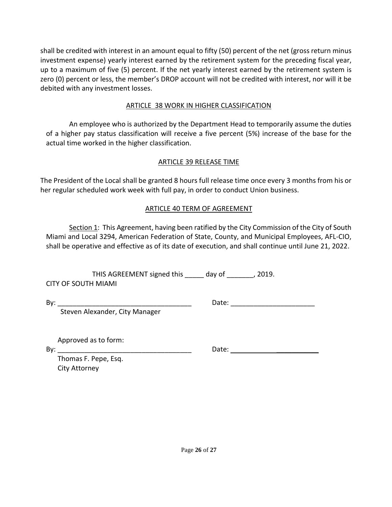shall be credited with interest in an amount equal to fifty (50) percent of the net (gross return minus investment expense) yearly interest earned by the retirement system for the preceding fiscal year, up to a maximum of five (5) percent. If the net yearly interest earned by the retirement system is zero (0) percent or less, the member's DROP account will not be credited with interest, nor will it be debited with any investment losses.

#### ARTICLE 38 WORK IN HIGHER CLASSIFICATION

An employee who is authorized by the Department Head to temporarily assume the duties of a higher pay status classification will receive a five percent (5%) increase of the base for the actual time worked in the higher classification.

#### ARTICLE 39 RELEASE TIME

The President of the Local shall be granted 8 hours full release time once every 3 months from his or her regular scheduled work week with full pay, in order to conduct Union business.

#### ARTICLE 40 TERM OF AGREEMENT

Section 1: This Agreement, having been ratified by the City Commission of the City of South Miami and Local 3294, American Federation of State, County, and Municipal Employees, AFL-CIO, shall be operative and effective as of its date of execution, and shall continue until June 21, 2022.

THIS AGREEMENT signed this \_\_\_\_\_ day of \_\_\_\_\_\_\_, 2019. CITY OF SOUTH MIAMI

By: \_\_\_\_\_\_\_\_\_\_\_\_\_\_\_\_\_\_\_\_\_\_\_\_\_\_\_\_\_\_\_\_\_\_\_ Date: \_\_\_\_\_\_\_\_\_\_\_\_\_\_\_\_\_\_\_\_\_\_

Steven Alexander, City Manager

Approved as to form:

By: \_\_\_\_\_\_\_\_\_\_\_\_\_\_\_\_\_\_\_\_\_\_\_\_\_\_\_\_\_\_\_\_\_\_\_ Date: \_\_\_\_\_\_\_\_\_\_\_

Thomas F. Pepe, Esq. City Attorney